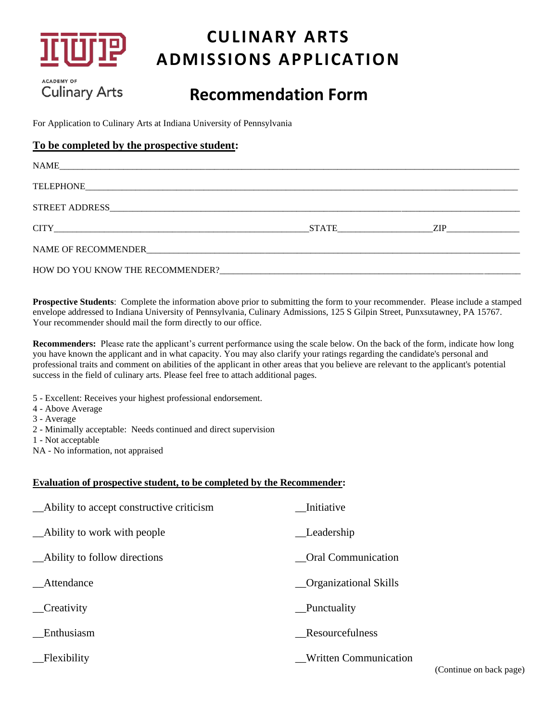

## **CULINARY ARTS ADMISSIONS APPLICATION**

**ACADEMY OF Culinary Arts** 

## **Recommendation Form**

For Application to Culinary Arts at Indiana University of Pennsylvania

#### **To be completed by the prospective student:**

| NAME |           |
|------|-----------|
|      |           |
|      |           |
|      | STATE ZIP |
|      |           |
|      |           |

**Prospective Students**: Complete the information above prior to submitting the form to your recommender. Please include a stamped envelope addressed to Indiana University of Pennsylvania, Culinary Admissions, 125 S Gilpin Street, Punxsutawney, PA 15767. Your recommender should mail the form directly to our office.

**Recommenders:** Please rate the applicant's current performance using the scale below. On the back of the form, indicate how long you have known the applicant and in what capacity. You may also clarify your ratings regarding the candidate's personal and professional traits and comment on abilities of the applicant in other areas that you believe are relevant to the applicant's potential success in the field of culinary arts. Please feel free to attach additional pages.

- 5 Excellent: Receives your highest professional endorsement.
- 4 Above Average
- 3 Average
- 2 Minimally acceptable: Needs continued and direct supervision
- 1 Not acceptable
- NA No information, not appraised

#### **Evaluation of prospective student, to be completed by the Recommender:**

| _Ability to accept constructive criticism | Initiative                   |
|-------------------------------------------|------------------------------|
| _Ability to work with people              | Leadership                   |
| _Ability to follow directions             | <b>Oral Communication</b>    |
| Attendance                                | <b>Organizational Skills</b> |
| _Creativity                               | Punctuality                  |
| Enthusiasm                                | Resourcefulness              |
| Flexibility                               | <b>Written Communication</b> |

(Continue on back page)